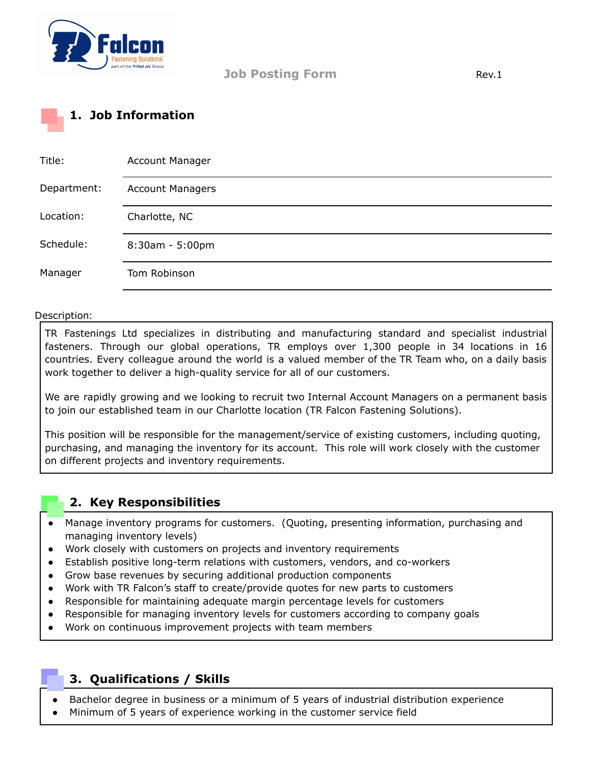

**Job Posting Form Rev.1** 

## **1. Job Information**

| Title:      | <b>Account Manager</b>  |
|-------------|-------------------------|
| Department: | <b>Account Managers</b> |
| Location:   | Charlotte, NC           |
| Schedule:   | $8:30am - 5:00pm$       |
| Manager     | Tom Robinson            |

## Description:

TR Fastenings Ltd specializes in distributing and manufacturing standard and specialist industrial fasteners. Through our global operations, TR employs over 1,300 people in 34 locations in 16 countries. Every colleague around the world is a valued member of the TR Team who, on a daily basis work together to deliver a high-quality service for all of our customers.

We are rapidly growing and we looking to recruit two Internal Account Managers on a permanent basis to join our established team in our Charlotte location (TR Falcon Fastening Solutions).

This position will be responsible for the management/service of existing customers, including quoting, purchasing, and managing the inventory for its account. This role will work closely with the customer on different projects and inventory requirements.

## **2. Key Responsibilities**

- Manage inventory programs for customers. (Quoting, presenting information, purchasing and managing inventory levels)
- Work closely with customers on projects and inventory requirements
- Establish positive long-term relations with customers, vendors, and co-workers
- Grow base revenues by securing additional production components
- Work with TR Falcon's staff to create/provide quotes for new parts to customers
- Responsible for maintaining adequate margin percentage levels for customers
- Responsible for managing inventory levels for customers according to company goals
- Work on continuous improvement projects with team members

## **3. Qualifications / Skills**

- Bachelor degree in business or a minimum of 5 years of industrial distribution experience
- Minimum of 5 years of experience working in the customer service field